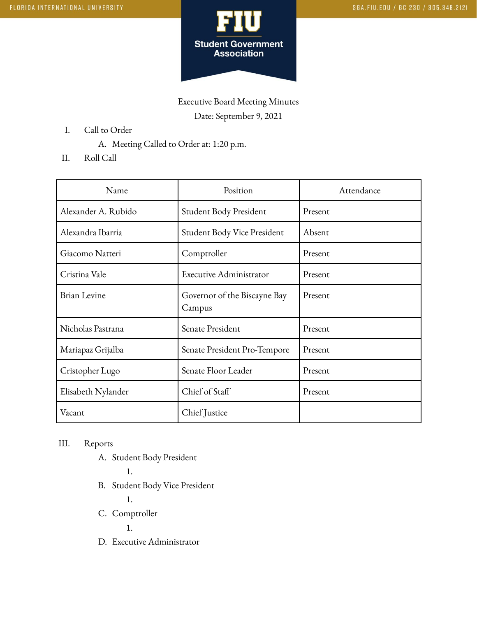

Executive Board Meeting Minutes Date: September 9, 2021

- I. Call to Order
	- A. Meeting Called to Order at: 1:20 p.m.
- II. Roll Call

| Name                | Position                               | Attendance |
|---------------------|----------------------------------------|------------|
| Alexander A. Rubido | Student Body President                 | Present    |
| Alexandra Ibarria   | Student Body Vice President            | Absent     |
| Giacomo Natteri     | Comptroller                            | Present    |
| Cristina Vale       | Executive Administrator                | Present    |
| <b>Brian Levine</b> | Governor of the Biscayne Bay<br>Campus | Present    |
| Nicholas Pastrana   | Senate President                       | Present    |
| Mariapaz Grijalba   | Senate President Pro-Tempore           | Present    |
| Cristopher Lugo     | Senate Floor Leader                    | Present    |
| Elisabeth Nylander  | Chief of Staff                         | Present    |
| Vacant              | Chief Justice                          |            |

## III. Reports

A. Student Body President

1.

- B. Student Body Vice President
	- 1.
- C. Comptroller

1.

D. Executive Administrator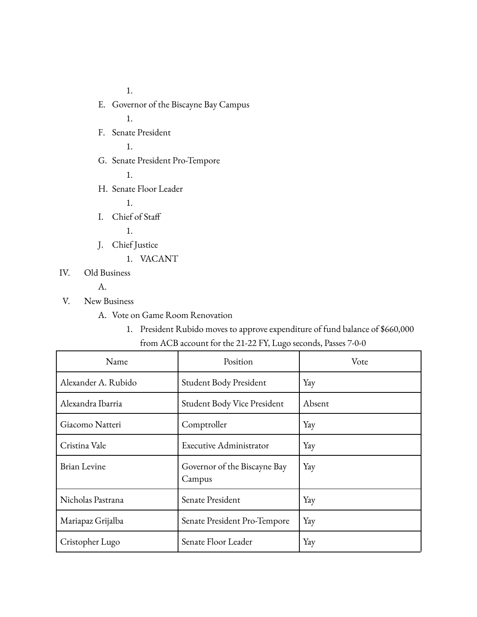1.

- E. Governor of the Biscayne Bay Campus
	- 1.
- F. Senate President

1.

G. Senate President Pro-Tempore

1.

H. Senate Floor Leader

1.

I. Chief of Staff

1.

- J. Chief Justice
	- 1. VACANT

IV. Old Business

A.

- V. New Business
	- A. Vote on Game Room Renovation
		- 1. President Rubido moves to approve expenditure of fund balance of \$660,000 from ACB account for the 21-22 FY, Lugo seconds, Passes 7-0-0

| Name                | Position                               | Vote   |
|---------------------|----------------------------------------|--------|
| Alexander A. Rubido | Student Body President                 | Yay    |
| Alexandra Ibarria   | Student Body Vice President            | Absent |
| Giacomo Natteri     | Comptroller                            | Yay    |
| Cristina Vale       | Executive Administrator                | Yay    |
| <b>Brian Levine</b> | Governor of the Biscayne Bay<br>Campus | Yay    |
| Nicholas Pastrana   | Senate President                       | Yay    |
| Mariapaz Grijalba   | Senate President Pro-Tempore           | Yay    |
| Cristopher Lugo     | Senate Floor Leader                    | Yay    |